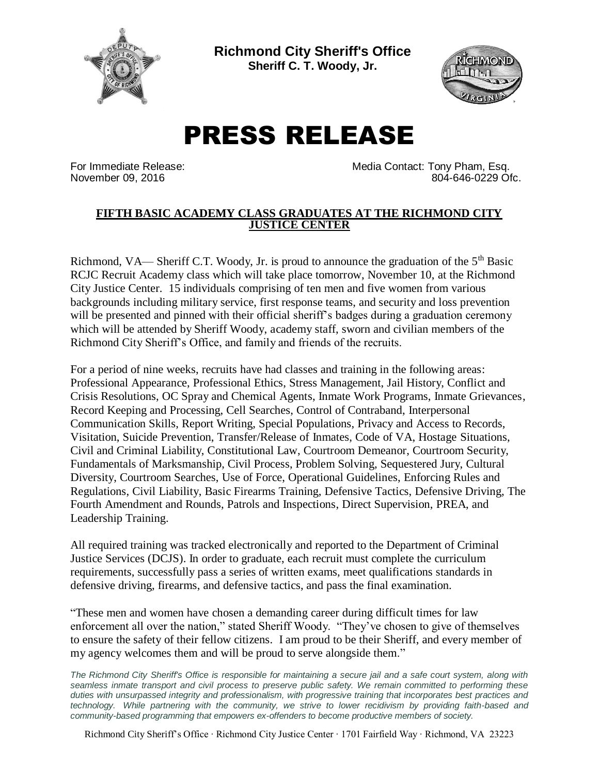

**Richmond City Sheriff's Office Sheriff C. T. Woody, Jr.**



## PRESS RELEASE

For Immediate Release: The Media Contact: Tony Pham, Esq. November 09, 2016 804-646-0229 Ofc.

## **FIFTH BASIC ACADEMY CLASS GRADUATES AT THE RICHMOND CITY JUSTICE CENTER**

Richmond, VA— Sheriff C.T. Woody, Jr. is proud to announce the graduation of the  $5<sup>th</sup>$  Basic RCJC Recruit Academy class which will take place tomorrow, November 10, at the Richmond City Justice Center. 15 individuals comprising of ten men and five women from various backgrounds including military service, first response teams, and security and loss prevention will be presented and pinned with their official sheriff's badges during a graduation ceremony which will be attended by Sheriff Woody, academy staff, sworn and civilian members of the Richmond City Sheriff's Office, and family and friends of the recruits.

For a period of nine weeks, recruits have had classes and training in the following areas: Professional Appearance, Professional Ethics, Stress Management, Jail History, Conflict and Crisis Resolutions, OC Spray and Chemical Agents, Inmate Work Programs, Inmate Grievances, Record Keeping and Processing, Cell Searches, Control of Contraband, Interpersonal Communication Skills, Report Writing, Special Populations, Privacy and Access to Records, Visitation, Suicide Prevention, Transfer/Release of Inmates, Code of VA, Hostage Situations, Civil and Criminal Liability, Constitutional Law, Courtroom Demeanor, Courtroom Security, Fundamentals of Marksmanship, Civil Process, Problem Solving, Sequestered Jury, Cultural Diversity, Courtroom Searches, Use of Force, Operational Guidelines, Enforcing Rules and Regulations, Civil Liability, Basic Firearms Training, Defensive Tactics, Defensive Driving, The Fourth Amendment and Rounds, Patrols and Inspections, Direct Supervision, PREA, and Leadership Training.

All required training was tracked electronically and reported to the Department of Criminal Justice Services (DCJS). In order to graduate, each recruit must complete the curriculum requirements, successfully pass a series of written exams, meet qualifications standards in defensive driving, firearms, and defensive tactics, and pass the final examination.

"These men and women have chosen a demanding career during difficult times for law enforcement all over the nation," stated Sheriff Woody. "They've chosen to give of themselves to ensure the safety of their fellow citizens. I am proud to be their Sheriff, and every member of my agency welcomes them and will be proud to serve alongside them."

*The Richmond City Sheriff's Office is responsible for maintaining a secure jail and a safe court system, along with seamless inmate transport and civil process to preserve public safety. We remain committed to performing these duties with unsurpassed integrity and professionalism, with progressive training that incorporates best practices and technology. While partnering with the community, we strive to lower recidivism by providing faith-based and community-based programming that empowers ex-offenders to become productive members of society.*